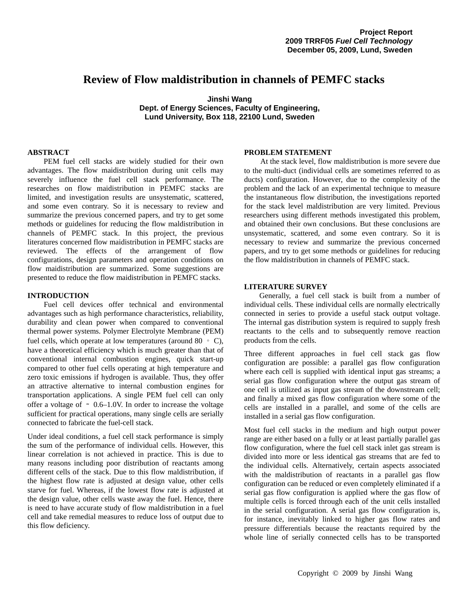# **Review of Flow maldistribution in channels of PEMFC stacks**

**Jinshi Wang Dept. of Energy Sciences, Faculty of Engineering, Lund University, Box 118, 22100 Lund, Sweden** 

# **ABSTRACT**

PEM fuel cell stacks are widely studied for their own advantages. The flow maidistribution during unit cells may severely influence the fuel cell stack performance. The researches on flow maidistribution in PEMFC stacks are limited, and investigation results are unsystematic, scattered, and some even contrary. So it is necessary to review and summarize the previous concerned papers, and try to get some methods or guidelines for reducing the flow maldistribution in channels of PEMFC stack. In this project, the previous literatures concerned flow maidistribution in PEMFC stacks are reviewed. The effects of the arrangement of flow configurations, design parameters and operation conditions on flow maidistribution are summarized. Some suggestions are presented to reduce the flow maidistribution in PEMFC stacks.

# **INTRODUCTION**

Fuel cell devices offer technical and environmental advantages such as high performance characteristics, reliability, durability and clean power when compared to conventional thermal power systems. Polymer Electrolyte Membrane (PEM) fuel cells, which operate at low temperatures (around  $80 \cdot C$ ), have a theoretical efficiency which is much greater than that of conventional internal combustion engines, quick start-up compared to other fuel cells operating at high temperature and zero toxic emissions if hydrogen is available. Thus, they offer an attractive alternative to internal combustion engines for transportation applications. A single PEM fuel cell can only offer a voltage of ∼ 0.6–1.0V. In order to increase the voltage sufficient for practical operations, many single cells are serially connected to fabricate the fuel-cell stack.

Under ideal conditions, a fuel cell stack performance is simply the sum of the performance of individual cells. However, this linear correlation is not achieved in practice. This is due to many reasons including poor distribution of reactants among different cells of the stack. Due to this flow maldistribution, if the highest flow rate is adjusted at design value, other cells starve for fuel. Whereas, if the lowest flow rate is adjusted at the design value, other cells waste away the fuel. Hence, there is need to have accurate study of flow maldistribution in a fuel cell and take remedial measures to reduce loss of output due to this flow deficiency.

# **PROBLEM STATEMENT**

At the stack level, flow maldistribution is more severe due to the multi-duct (individual cells are sometimes referred to as ducts) configuration. However, due to the complexity of the problem and the lack of an experimental technique to measure the instantaneous flow distribution, the investigations reported for the stack level maldistribution are very limited. Previous researchers using different methods investigated this problem, and obtained their own conclusions. But these conclusions are unsystematic, scattered, and some even contrary. So it is necessary to review and summarize the previous concerned papers, and try to get some methods or guidelines for reducing the flow maldistribution in channels of PEMFC stack.

### **LITERATURE SURVEY**

Generally, a fuel cell stack is built from a number of individual cells. These individual cells are normally electrically connected in series to provide a useful stack output voltage. The internal gas distribution system is required to supply fresh reactants to the cells and to subsequently remove reaction products from the cells.

Three different approaches in fuel cell stack gas flow configuration are possible: a parallel gas flow configuration where each cell is supplied with identical input gas streams; a serial gas flow configuration where the output gas stream of one cell is utilized as input gas stream of the downstream cell; and finally a mixed gas flow configuration where some of the cells are installed in a parallel, and some of the cells are installed in a serial gas flow configuration.

Most fuel cell stacks in the medium and high output power range are either based on a fully or at least partially parallel gas flow configuration, where the fuel cell stack inlet gas stream is divided into more or less identical gas streams that are fed to the individual cells. Alternatively, certain aspects associated with the maldistribution of reactants in a parallel gas flow configuration can be reduced or even completely eliminated if a serial gas flow configuration is applied where the gas flow of multiple cells is forced through each of the unit cells installed in the serial configuration. A serial gas flow configuration is, for instance, inevitably linked to higher gas flow rates and pressure differentials because the reactants required by the whole line of serially connected cells has to be transported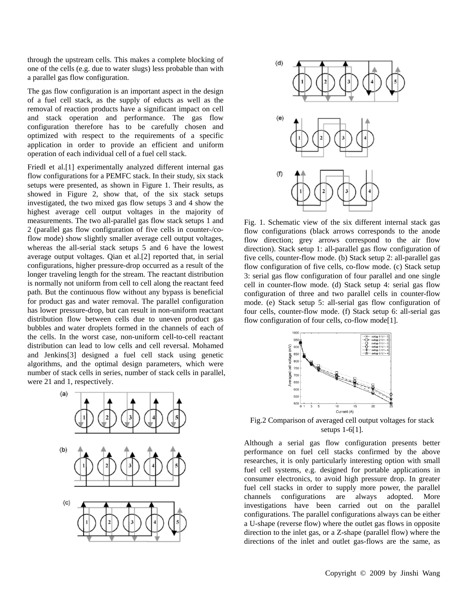through the upstream cells. This makes a complete blocking of one of the cells (e.g. due to water slugs) less probable than with a parallel gas flow configuration.

The gas flow configuration is an important aspect in the design of a fuel cell stack, as the supply of educts as well as the removal of reaction products have a significant impact on cell and stack operation and performance. The gas flow configuration therefore has to be carefully chosen and optimized with respect to the requirements of a specific application in order to provide an efficient and uniform operation of each individual cell of a fuel cell stack.

Friedl et al.[1] experimentally analyzed different internal gas flow configurations for a PEMFC stack. In their study, six stack setups were presented, as shown in Figure 1. Their results, as showed in Figure 2, show that, of the six stack setups investigated, the two mixed gas flow setups 3 and 4 show the highest average cell output voltages in the majority of measurements. The two all-parallel gas flow stack setups 1 and 2 (parallel gas flow configuration of five cells in counter-/coflow mode) show slightly smaller average cell output voltages, whereas the all-serial stack setups 5 and 6 have the lowest average output voltages. Qian et al.[2] reported that, in serial configurations, higher pressure-drop occurred as a result of the longer traveling length for the stream. The reactant distribution is normally not uniform from cell to cell along the reactant feed path. But the continuous flow without any bypass is beneficial for product gas and water removal. The parallel configuration has lower pressure-drop, but can result in non-uniform reactant distribution flow between cells due to uneven product gas bubbles and water droplets formed in the channels of each of the cells. In the worst case, non-uniform cell-to-cell reactant distribution can lead to low cells and cell reversal. Mohamed and Jenkins[3] designed a fuel cell stack using genetic algorithms, and the optimal design parameters, which were number of stack cells in series, number of stack cells in parallel, were 21 and 1, respectively.





Fig. 1. Schematic view of the six different internal stack gas flow configurations (black arrows corresponds to the anode flow direction; grey arrows correspond to the air flow direction). Stack setup 1: all-parallel gas flow configuration of five cells, counter-flow mode. (b) Stack setup 2: all-parallel gas flow configuration of five cells, co-flow mode. (c) Stack setup 3: serial gas flow configuration of four parallel and one single cell in counter-flow mode. (d) Stack setup 4: serial gas flow configuration of three and two parallel cells in counter-flow mode. (e) Stack setup 5: all-serial gas flow configuration of four cells, counter-flow mode. (f) Stack setup 6: all-serial gas flow configuration of four cells, co-flow mode<sup>[1]</sup>.



Fig.2 Comparison of averaged cell output voltages for stack setups 1-6[1].

Although a serial gas flow configuration presents better performance on fuel cell stacks confirmed by the above researches, it is only particularly interesting option with small fuel cell systems, e.g. designed for portable applications in consumer electronics, to avoid high pressure drop. In greater fuel cell stacks in order to supply more power, the parallel channels configurations are always adopted. More investigations have been carried out on the parallel configurations. The parallel configurations always can be either a U-shape (reverse flow) where the outlet gas flows in opposite direction to the inlet gas, or a Z-shape (parallel flow) where the directions of the inlet and outlet gas-flows are the same, as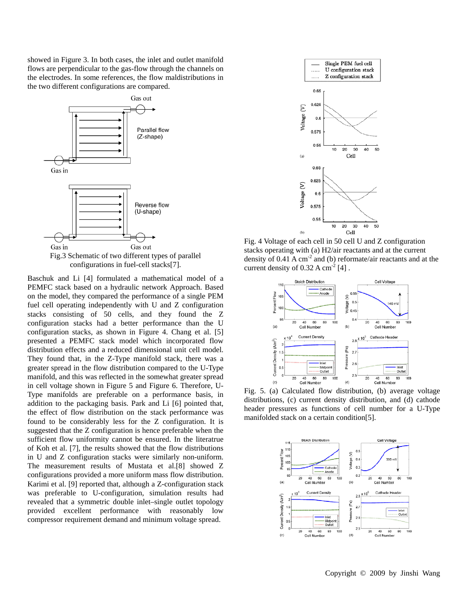showed in Figure 3. In both cases, the inlet and outlet manifold flows are perpendicular to the gas-flow through the channels on the electrodes. In some references, the flow maldistributions in the two different configurations are compared.



Baschuk and Li [4] formulated a mathematical model of a PEMFC stack based on a hydraulic network Approach. Based on the model, they compared the performance of a single PEM fuel cell operating independently with U and Z configuration stacks consisting of 50 cells, and they found the Z configuration stacks had a better performance than the U configuration stacks, as shown in Figure 4. Chang et al. [5] presented a PEMFC stack model which incorporated flow distribution effects and a reduced dimensional unit cell model. They found that, in the Z-Type manifold stack, there was a greater spread in the flow distribution compared to the U-Type manifold, and this was reflected in the somewhat greater spread in cell voltage shown in Figure 5 and Figure 6. Therefore, U-Type manifolds are preferable on a performance basis, in addition to the packaging basis. Park and Li [6] pointed that, the effect of flow distribution on the stack performance was found to be considerably less for the Z configuration. It is suggested that the Z configuration is hence preferable when the sufficient flow uniformity cannot be ensured. In the literatrue of Koh et al. [7], the results showed that the flow distributions in U and Z configuration stacks were similarly non-uniform. The measurement results of Mustata et al.[8] showed Z configurations provided a more uniform mass flow distribution. Karimi et al. [9] reported that, although a Z-configuration stack was preferable to U-configuration, simulation results had revealed that a symmetric double inlet–single outlet topology provided excellent performance with reasonably low compressor requirement demand and minimum voltage spread.



Fig. 4 Voltage of each cell in 50 cell U and Z configuration stacks operating with (a) H2/air reactants and at the current density of  $0.41 \text{ A cm}^2$  and (b) reformate/air reactants and at the current density of  $0.32$  A cm<sup>-2</sup> [4].



Fig. 5. (a) Calculated flow distribution, (b) average voltage distributions, (c) current density distribution, and (d) cathode header pressures as functions of cell number for a U-Type manifolded stack on a certain condition[5].

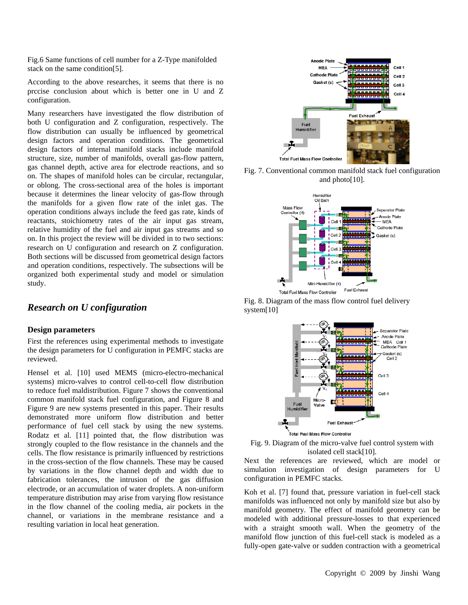Fig.6 Same functions of cell number for a Z-Type manifolded stack on the same condition[5].

According to the above researches, it seems that there is no prccise conclusion about which is better one in U and Z configuration.

Many researchers have investigated the flow distribution of both U configuration and Z configuration, respectively. The flow distribution can usually be influenced by geometrical design factors and operation conditions. The geometrical design factors of internal manifold stacks include manifold structure, size, number of manifolds, overall gas-flow pattern, gas channel depth, active area for electrode reactions, and so on. The shapes of manifold holes can be circular, rectangular, or oblong. The cross-sectional area of the holes is important because it determines the linear velocity of gas-flow through the manifolds for a given flow rate of the inlet gas. The operation conditions always include the feed gas rate, kinds of reactants, stoichiometry rates of the air input gas stream, relative humidity of the fuel and air input gas streams and so on. In this project the review will be divided in to two sections: research on U configuration and research on Z configuration. Both sections will be discussed from geometrical design factors and operation conditions, respectively. The subsections will be organized both experimental study and model or simulation study.

# *Research on U configuration*

# **Design parameters**

First the references using experimental methods to investigate the design parameters for U configuration in PEMFC stacks are reviewed.

Hensel et al. [10] used MEMS (micro-electro-mechanical systems) micro-valves to control cell-to-cell flow distribution to reduce fuel maldistribution. Figure 7 shows the conventional common manifold stack fuel configuration, and Figure 8 and Figure 9 are new systems presented in this paper. Their results demonstrated more uniform flow distribution and better performance of fuel cell stack by using the new systems. Rodatz et al. [11] pointed that, the flow distribution was strongly coupled to the flow resistance in the channels and the cells. The flow resistance is primarily influenced by restrictions in the cross-section of the flow channels. These may be caused by variations in the flow channel depth and width due to fabrication tolerances, the intrusion of the gas diffusion electrode, or an accumulation of water droplets. A non-uniform temperature distribution may arise from varying flow resistance in the flow channel of the cooling media, air pockets in the channel, or variations in the membrane resistance and a resulting variation in local heat generation.



Fig. 7. Conventional common manifold stack fuel configuration and photo[10].



Fig. 8. Diagram of the mass flow control fuel delivery system[10]





Next the references are reviewed, which are model or simulation investigation of design parameters for U configuration in PEMFC stacks.

Koh et al. [7] found that, pressure variation in fuel-cell stack manifolds was influenced not only by manifold size but also by manifold geometry. The effect of manifold geometry can be modeled with additional pressure-losses to that experienced with a straight smooth wall. When the geometry of the manifold flow junction of this fuel-cell stack is modeled as a fully-open gate-valve or sudden contraction with a geometrical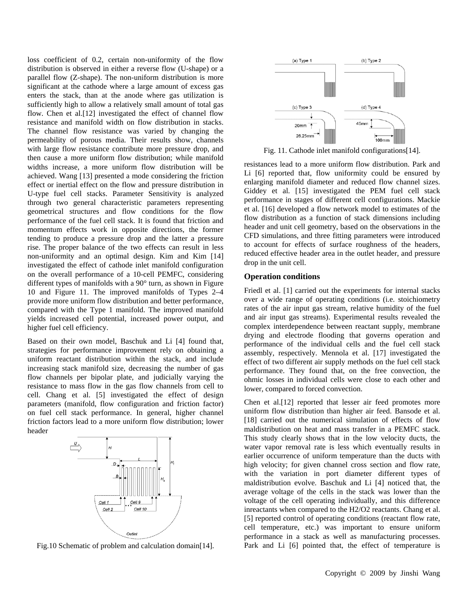loss coefficient of 0.2, certain non-uniformity of the flow distribution is observed in either a reverse flow (U-shape) or a parallel flow (Z-shape). The non-uniform distribution is more significant at the cathode where a large amount of excess gas enters the stack, than at the anode where gas utilization is sufficiently high to allow a relatively small amount of total gas flow. Chen et al. [12] investigated the effect of channel flow resistance and manifold width on flow distribution in stacks. The channel flow resistance was varied by changing the permeability of porous media. Their results show, channels with large flow resistance contribute more pressure drop, and then cause a more uniform flow distribution; while manifold widths increase, a more uniform flow distribution will be achieved. Wang [13] presented a mode considering the friction effect or inertial effect on the flow and pressure distribution in U-type fuel cell stacks. Parameter Sensitivity is analyzed through two general characteristic parameters representing geometrical structures and flow conditions for the flow performance of the fuel cell stack. It is found that friction and momentum effects work in opposite directions, the former tending to produce a pressure drop and the latter a pressure rise. The proper balance of the two effects can result in less non-uniformity and an optimal design. Kim and Kim [14] investigated the effect of cathode inlet manifold configuration on the overall performance of a 10-cell PEMFC, considering different types of manifolds with a 90° turn, as shown in Figure 10 and Figure 11. The improved manifolds of Types 2–4 provide more uniform flow distribution and better performance, compared with the Type 1 manifold. The improved manifold yields increased cell potential, increased power output, and higher fuel cell efficiency.

Based on their own model, Baschuk and Li [4] found that, strategies for performance improvement rely on obtaining a uniform reactant distribution within the stack, and include increasing stack manifold size, decreasing the number of gas flow channels per bipolar plate, and judicially varying the resistance to mass flow in the gas flow channels from cell to cell. Chang et al. [5] investigated the effect of design parameters (manifold, flow configuration and friction factor) on fuel cell stack performance. In general, higher channel friction factors lead to a more uniform flow distribution; lower header



Fig.10 Schematic of problem and calculation domain[14].



Fig. 11. Cathode inlet manifold configurations[14].

resistances lead to a more uniform flow distribution. Park and Li [6] reported that, flow uniformity could be ensured by enlarging manifold diameter and reduced flow channel sizes. Giddey et al. [15] investigated the PEM fuel cell stack performance in stages of different cell configurations. Mackie et al. [16] developed a flow network model to estimates of the flow distribution as a function of stack dimensions including header and unit cell geometry, based on the observations in the CFD simulations, and three fitting parameters were introduced to account for effects of surface roughness of the headers, reduced effective header area in the outlet header, and pressure drop in the unit cell.

# **Operation conditions**

Friedl et al. [1] carried out the experiments for internal stacks over a wide range of operating conditions (i.e. stoichiometry rates of the air input gas stream, relative humidity of the fuel and air input gas streams). Experimental results revealed the complex interdependence between reactant supply, membrane drying and electrode flooding that governs operation and performance of the individual cells and the fuel cell stack assembly, respectively. Mennola et al. [17] investigated the effect of two different air supply methods on the fuel cell stack performance. They found that, on the free convection, the ohmic losses in individual cells were close to each other and lower, compared to forced convection.

Chen et al.[12] reported that lesser air feed promotes more uniform flow distribution than higher air feed. Bansode et al. [18] carried out the numerical simulation of effects of flow maldistribution on heat and mass transfer in a PEMFC stack. This study clearly shows that in the low velocity ducts, the water vapor removal rate is less which eventually results in earlier occurrence of uniform temperature than the ducts with high velocity; for given channel cross section and flow rate, with the variation in port diameter different types of maldistribution evolve. Baschuk and Li [4] noticed that, the average voltage of the cells in the stack was lower than the voltage of the cell operating individually, and this difference inreactants when compared to the H2/O2 reactants. Chang et al. [5] reported control of operating conditions (reactant flow rate, cell temperature, etc.) was important to ensure uniform performance in a stack as well as manufacturing processes. Park and Li [6] pointed that, the effect of temperature is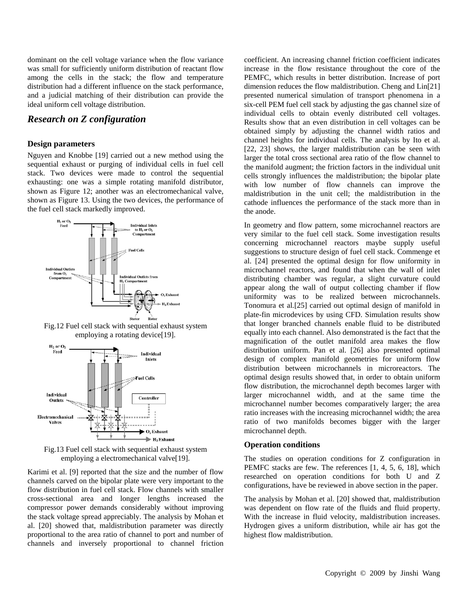dominant on the cell voltage variance when the flow variance was small for sufficiently uniform distribution of reactant flow among the cells in the stack; the flow and temperature distribution had a different influence on the stack performance, and a judicial matching of their distribution can provide the ideal uniform cell voltage distribution.

# *Research on Z configuration*

## **Design parameters**

Nguyen and Knobbe [19] carried out a new method using the sequential exhaust or purging of individual cells in fuel cell stack. Two devices were made to control the sequential exhausting: one was a simple rotating manifold distributor, shown as Figure 12; another was an electromechanical valve, shown as Figure 13. Using the two devices, the performance of the fuel cell stack markedly improved.



Fig.12 Fuel cell stack with sequential exhaust system employing a rotating device[19].



Fig.13 Fuel cell stack with sequential exhaust system employing a electromechanical valve[19].

Karimi et al. [9] reported that the size and the number of flow channels carved on the bipolar plate were very important to the flow distribution in fuel cell stack. Flow channels with smaller cross-sectional area and longer lengths increased the compressor power demands considerably without improving the stack voltage spread appreciably. The analysis by Mohan et al. [20] showed that, maldistribution parameter was directly proportional to the area ratio of channel to port and number of channels and inversely proportional to channel friction coefficient. An increasing channel friction coefficient indicates increase in the flow resistance throughout the core of the PEMFC, which results in better distribution. Increase of port dimension reduces the flow maldistribution. Cheng and Lin[21] presented numerical simulation of transport phenomena in a six-cell PEM fuel cell stack by adjusting the gas channel size of individual cells to obtain evenly distributed cell voltages. Results show that an even distribution in cell voltages can be obtained simply by adjusting the channel width ratios and channel heights for individual cells. The analysis by Ito et al. [22, 23] shows, the larger maldistribution can be seen with larger the total cross sectional area ratio of the flow channel to the manifold augment; the friction factors in the individual unit cells strongly influences the maldistribution; the bipolar plate with low number of flow channels can improve the maldistribution in the unit cell; the maldistribution in the cathode influences the performance of the stack more than in the anode.

In geometry and flow pattern, some microchannel reactors are very similar to the fuel cell stack. Some investigation results concerning microchannel reactors maybe supply useful suggestions to structure design of fuel cell stack. Commenge et al. [24] presented the optimal design for flow uniformity in microchannel reactors, and found that when the wall of inlet distributing chamber was regular, a slight curvature could appear along the wall of output collecting chamber if flow uniformity was to be realized between microchannels. Tonomura et al.[25] carried out optimal design of manifold in plate-fin microdevices by using CFD. Simulation results show that longer branched channels enable fluid to be distributed equally into each channel. Also demonstrated is the fact that the magnification of the outlet manifold area makes the flow distribution uniform. Pan et al. [26] also presented optimal design of complex manifold geometries for uniform flow distribution between microchannels in microreactors. The optimal design results showed that, in order to obtain uniform flow distribution, the microchannel depth becomes larger with larger microchannel width, and at the same time the microchannel number becomes comparatively larger; the area ratio increases with the increasing microchannel width; the area ratio of two manifolds becomes bigger with the larger microchannel depth.

# **Operation conditions**

The studies on operation conditions for Z configuration in PEMFC stacks are few. The references [1, 4, 5, 6, 18], which researched on operation conditions for both U and Z configurations, have be reviewed in above section in the paper.

The analysis by Mohan et al. [20] showed that, maldistribution was dependent on flow rate of the fluids and fluid property. With the increase in fluid velocity, maldistribution increases. Hydrogen gives a uniform distribution, while air has got the highest flow maldistribution.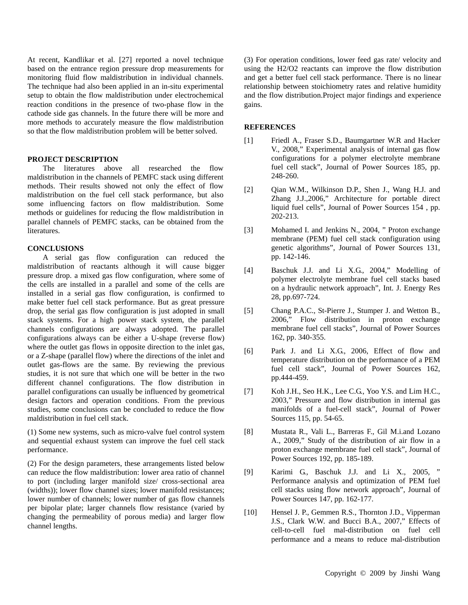At recent, Kandlikar et al. [27] reported a novel technique based on the entrance region pressure drop measurements for monitoring fluid flow maldistribution in individual channels. The technique had also been applied in an in-situ experimental setup to obtain the flow maldistribution under electrochemical reaction conditions in the presence of two-phase flow in the cathode side gas channels. In the future there will be more and more methods to accurately measure the flow maldistribution so that the flow maldistribution problem will be better solved.

#### **PROJECT DESCRIPTION**

The literatures above all researched the flow maldistribution in the channels of PEMFC stack using different methods. Their results showed not only the effect of flow maldistribution on the fuel cell stack performance, but also some influencing factors on flow maldistribution. Some methods or guidelines for reducing the flow maldistribution in parallel channels of PEMFC stacks, can be obtained from the literatures.

### **CONCLUSIONS**

A serial gas flow configuration can reduced the maldistribution of reactants although it will cause bigger pressure drop. a mixed gas flow configuration, where some of the cells are installed in a parallel and some of the cells are installed in a serial gas flow configuration, is confirmed to make better fuel cell stack performance. But as great pressure drop, the serial gas flow configuration is just adopted in small stack systems. For a high power stack system, the parallel channels configurations are always adopted. The parallel configurations always can be either a U-shape (reverse flow) where the outlet gas flows in opposite direction to the inlet gas, or a Z-shape (parallel flow) where the directions of the inlet and outlet gas-flows are the same. By reviewing the previous studies, it is not sure that which one will be better in the two different channel configurations. The flow distribution in parallel configurations can usually be influenced by geometrical design factors and operation conditions. From the previous studies, some conclusions can be concluded to reduce the flow maldistribution in fuel cell stack.

(1) Some new systems, such as micro-valve fuel control system and sequential exhaust system can improve the fuel cell stack performance.

(2) For the design parameters, these arrangements listed below can reduce the flow maldistribution: lower area ratio of channel to port (including larger manifold size/ cross-sectional area (widths)); lower flow channel sizes; lower manifold resistances; lower number of channels; lower number of gas flow channels per bipolar plate; larger channels flow resistance (varied by changing the permeability of porous media) and larger flow channel lengths.

(3) For operation conditions, lower feed gas rate/ velocity and using the H2/O2 reactants can improve the flow distribution and get a better fuel cell stack performance. There is no linear relationship between stoichiometry rates and relative humidity and the flow distribution.Project major findings and experience gains.

### **REFERENCES**

- [1] Friedl A., Fraser S.D., Baumgartner W.R and Hacker V., 2008," Experimental analysis of internal gas flow configurations for a polymer electrolyte membrane fuel cell stack", Journal of Power Sources 185, pp. 248-260.
- [2] Qian W.M., Wilkinson D.P., Shen J., Wang H.J. and Zhang J.J.,2006," Architecture for portable direct liquid fuel cells", Journal of Power Sources 154 , pp. 202-213.
- [3] Mohamed I. and Jenkins N., 2004, " Proton exchange membrane (PEM) fuel cell stack configuration using genetic algorithms", Journal of Power Sources 131, pp. 142-146.
- [4] Baschuk J.J. and Li X.G., 2004," Modelling of polymer electrolyte membrane fuel cell stacks based on a hydraulic network approach", Int. J. Energy Res 28, pp.697-724.
- [5] Chang P.A.C., St-Pierre J., Stumper J. and Wetton B., 2006," Flow distribution in proton exchange membrane fuel cell stacks", Journal of Power Sources 162, pp. 340-355.
- [6] Park J. and Li X.G., 2006, Effect of flow and temperature distribution on the performance of a PEM fuel cell stack", Journal of Power Sources 162, pp.444-459.
- [7] Koh J.H., Seo H.K., Lee C.G., Yoo Y.S. and Lim H.C., 2003," Pressure and flow distribution in internal gas manifolds of a fuel-cell stack", Journal of Power Sources 115, pp. 54-65.
- [8] Mustata R., Vali L., Barreras F., Gil M.i.and Lozano A., 2009," Study of the distribution of air flow in a proton exchange membrane fuel cell stack", Journal of Power Sources 192, pp. 185-189.
- [9] Karimi G., Baschuk J.J. and Li X., 2005, " Performance analysis and optimization of PEM fuel cell stacks using flow network approach", Journal of Power Sources 147, pp. 162-177.
- [10] Hensel J. P., Gemmen R.S., Thornton J.D., Vipperman J.S., Clark W.W. and Bucci B.A., 2007," Effects of cell-to-cell fuel mal-distribution on fuel cell performance and a means to reduce mal-distribution